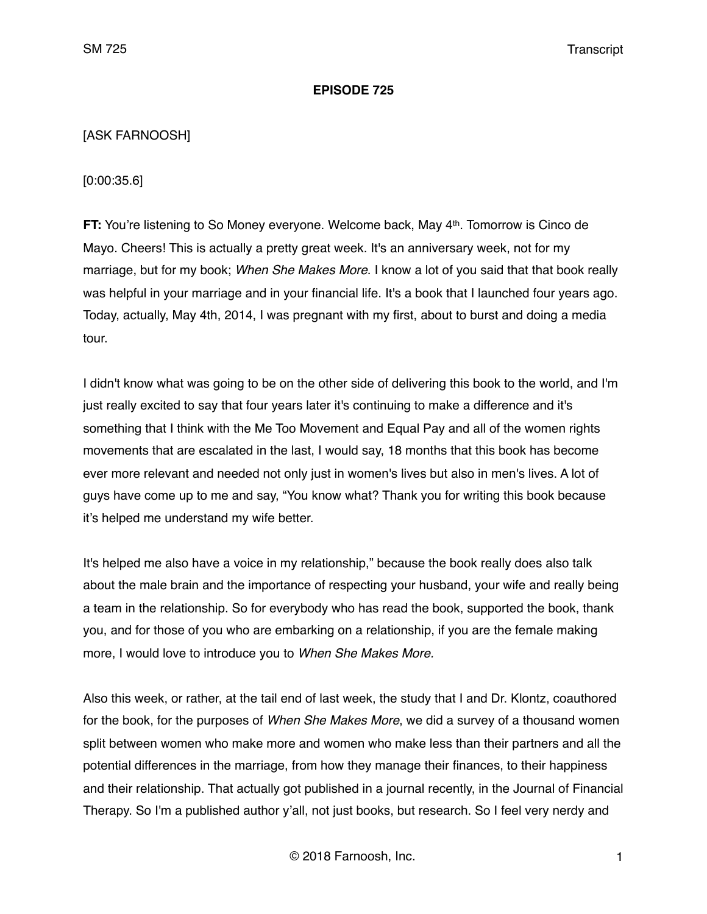### **EPISODE 725**

# [ASK FARNOOSH]

[0:00:35.6]

**FT:** You're listening to So Money everyone. Welcome back, May 4<sup>th</sup>. Tomorrow is Cinco de Mayo. Cheers! This is actually a pretty great week. It's an anniversary week, not for my marriage, but for my book; *When She Makes More*. I know a lot of you said that that book really was helpful in your marriage and in your financial life. It's a book that I launched four years ago. Today, actually, May 4th, 2014, I was pregnant with my first, about to burst and doing a media tour.

I didn't know what was going to be on the other side of delivering this book to the world, and I'm just really excited to say that four years later it's continuing to make a difference and it's something that I think with the Me Too Movement and Equal Pay and all of the women rights movements that are escalated in the last, I would say, 18 months that this book has become ever more relevant and needed not only just in women's lives but also in men's lives. A lot of guys have come up to me and say, "You know what? Thank you for writing this book because it's helped me understand my wife better.

It's helped me also have a voice in my relationship," because the book really does also talk about the male brain and the importance of respecting your husband, your wife and really being a team in the relationship. So for everybody who has read the book, supported the book, thank you, and for those of you who are embarking on a relationship, if you are the female making more, I would love to introduce you to *When She Makes More.* 

Also this week, or rather, at the tail end of last week, the study that I and Dr. Klontz, coauthored for the book, for the purposes of *When She Makes More*, we did a survey of a thousand women split between women who make more and women who make less than their partners and all the potential differences in the marriage, from how they manage their finances, to their happiness and their relationship. That actually got published in a journal recently, in the Journal of Financial Therapy. So I'm a published author y'all, not just books, but research. So I feel very nerdy and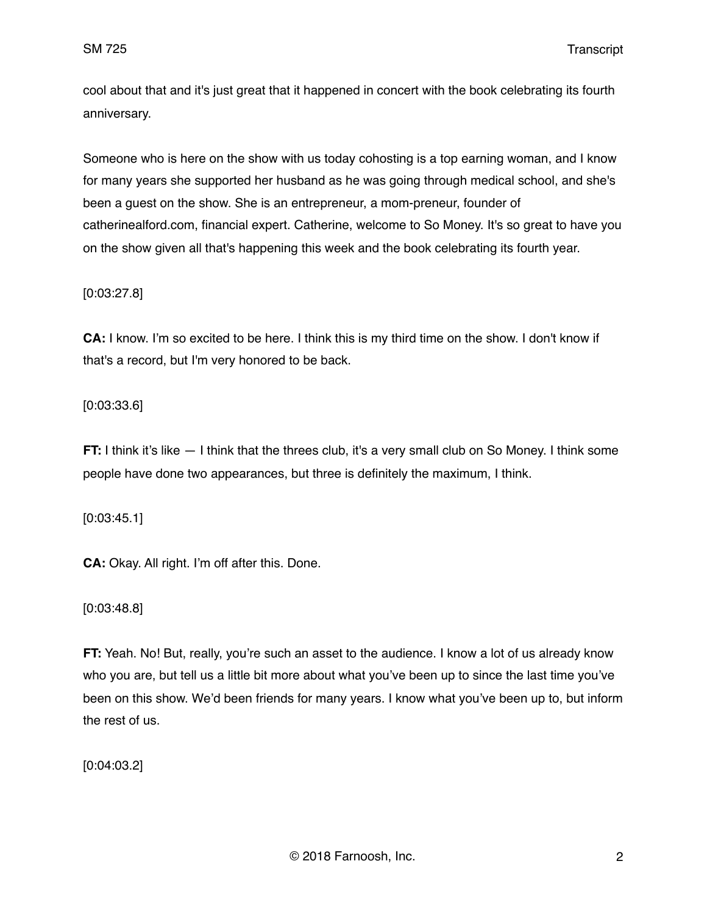cool about that and it's just great that it happened in concert with the book celebrating its fourth anniversary.

Someone who is here on the show with us today cohosting is a top earning woman, and I know for many years she supported her husband as he was going through medical school, and she's been a guest on the show. She is an entrepreneur, a mom-preneur, founder of catherinealford.com, financial expert. Catherine, welcome to So Money. It's so great to have you on the show given all that's happening this week and the book celebrating its fourth year.

### [0:03:27.8]

**CA:** I know. I'm so excited to be here. I think this is my third time on the show. I don't know if that's a record, but I'm very honored to be back.

#### [0:03:33.6]

**FT:** I think it's like  $-1$  think that the threes club, it's a very small club on So Money. I think some people have done two appearances, but three is definitely the maximum, I think.

[0:03:45.1]

**CA:** Okay. All right. I'm off after this. Done.

[0:03:48.8]

**FT:** Yeah. No! But, really, you're such an asset to the audience. I know a lot of us already know who you are, but tell us a little bit more about what you've been up to since the last time you've been on this show. We'd been friends for many years. I know what you've been up to, but inform the rest of us.

[0:04:03.2]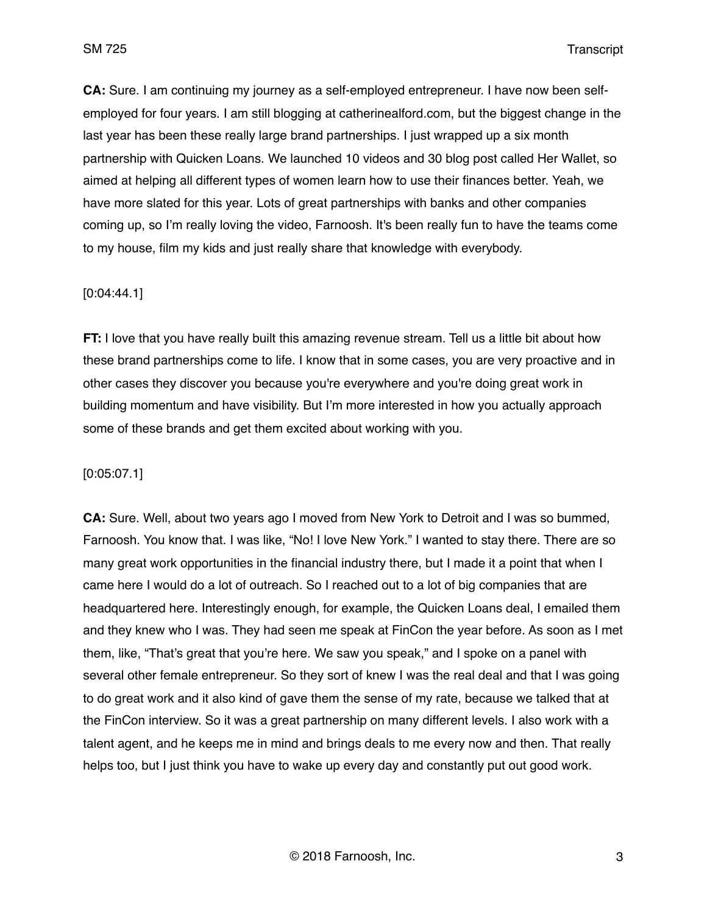**CA:** Sure. I am continuing my journey as a self-employed entrepreneur. I have now been selfemployed for four years. I am still blogging at catherinealford.com, but the biggest change in the last year has been these really large brand partnerships. I just wrapped up a six month partnership with Quicken Loans. We launched 10 videos and 30 blog post called Her Wallet, so aimed at helping all different types of women learn how to use their finances better. Yeah, we have more slated for this year. Lots of great partnerships with banks and other companies coming up, so I'm really loving the video, Farnoosh. It's been really fun to have the teams come to my house, film my kids and just really share that knowledge with everybody.

### [0:04:44.1]

**FT:** I love that you have really built this amazing revenue stream. Tell us a little bit about how these brand partnerships come to life. I know that in some cases, you are very proactive and in other cases they discover you because you're everywhere and you're doing great work in building momentum and have visibility. But I'm more interested in how you actually approach some of these brands and get them excited about working with you.

### [0:05:07.1]

**CA:** Sure. Well, about two years ago I moved from New York to Detroit and I was so bummed, Farnoosh. You know that. I was like, "No! I love New York." I wanted to stay there. There are so many great work opportunities in the financial industry there, but I made it a point that when I came here I would do a lot of outreach. So I reached out to a lot of big companies that are headquartered here. Interestingly enough, for example, the Quicken Loans deal, I emailed them and they knew who I was. They had seen me speak at FinCon the year before. As soon as I met them, like, "That's great that you're here. We saw you speak," and I spoke on a panel with several other female entrepreneur. So they sort of knew I was the real deal and that I was going to do great work and it also kind of gave them the sense of my rate, because we talked that at the FinCon interview. So it was a great partnership on many different levels. I also work with a talent agent, and he keeps me in mind and brings deals to me every now and then. That really helps too, but I just think you have to wake up every day and constantly put out good work.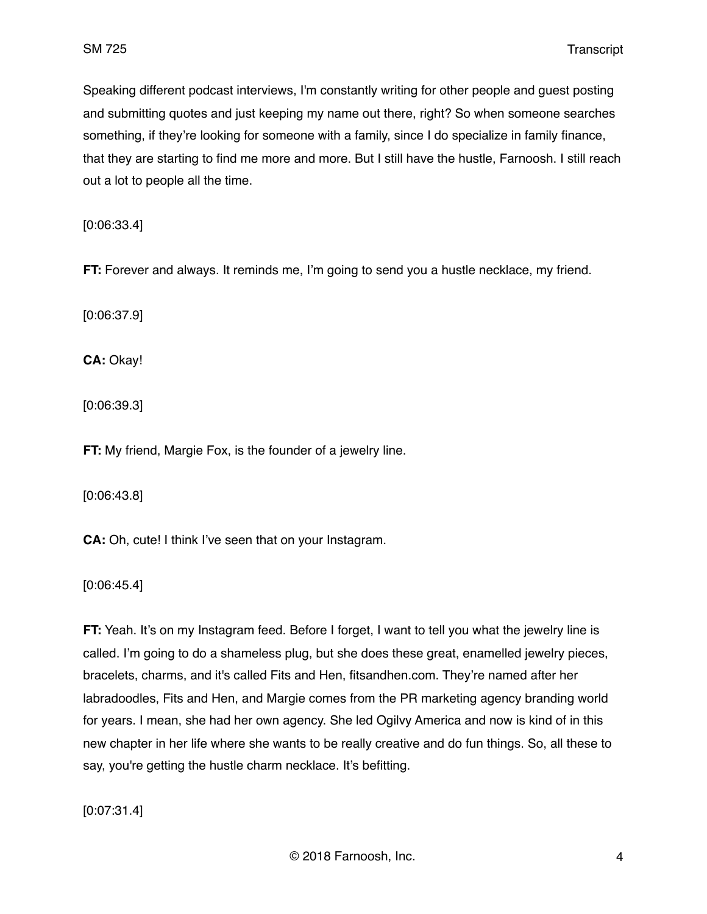Speaking different podcast interviews, I'm constantly writing for other people and guest posting and submitting quotes and just keeping my name out there, right? So when someone searches something, if they're looking for someone with a family, since I do specialize in family finance, that they are starting to find me more and more. But I still have the hustle, Farnoosh. I still reach out a lot to people all the time.

[0:06:33.4]

**FT:** Forever and always. It reminds me, I'm going to send you a hustle necklace, my friend.

[0:06:37.9]

**CA:** Okay!

[0:06:39.3]

**FT:** My friend, Margie Fox, is the founder of a jewelry line.

[0:06:43.8]

**CA:** Oh, cute! I think I've seen that on your Instagram.

[0:06:45.4]

**FT:** Yeah. It's on my Instagram feed. Before I forget, I want to tell you what the jewelry line is called. I'm going to do a shameless plug, but she does these great, enamelled jewelry pieces, bracelets, charms, and it's called Fits and Hen, fitsandhen.com. They're named after her labradoodles, Fits and Hen, and Margie comes from the PR marketing agency branding world for years. I mean, she had her own agency. She led Ogilvy America and now is kind of in this new chapter in her life where she wants to be really creative and do fun things. So, all these to say, you're getting the hustle charm necklace. It's befitting.

[0:07:31.4]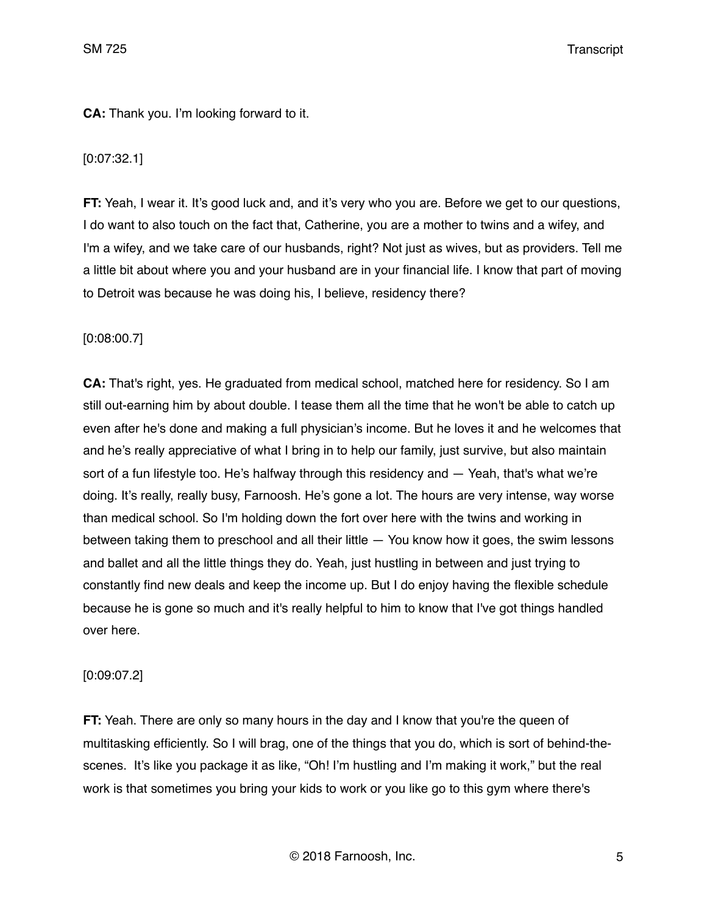# **CA:** Thank you. I'm looking forward to it.

# [0:07:32.1]

**FT:** Yeah, I wear it. It's good luck and, and it's very who you are. Before we get to our questions, I do want to also touch on the fact that, Catherine, you are a mother to twins and a wifey, and I'm a wifey, and we take care of our husbands, right? Not just as wives, but as providers. Tell me a little bit about where you and your husband are in your financial life. I know that part of moving to Detroit was because he was doing his, I believe, residency there?

# [0:08:00.7]

**CA:** That's right, yes. He graduated from medical school, matched here for residency. So I am still out-earning him by about double. I tease them all the time that he won't be able to catch up even after he's done and making a full physician's income. But he loves it and he welcomes that and he's really appreciative of what I bring in to help our family, just survive, but also maintain sort of a fun lifestyle too. He's halfway through this residency and — Yeah, that's what we're doing. It's really, really busy, Farnoosh. He's gone a lot. The hours are very intense, way worse than medical school. So I'm holding down the fort over here with the twins and working in between taking them to preschool and all their little — You know how it goes, the swim lessons and ballet and all the little things they do. Yeah, just hustling in between and just trying to constantly find new deals and keep the income up. But I do enjoy having the flexible schedule because he is gone so much and it's really helpful to him to know that I've got things handled over here.

# [0:09:07.2]

**FT:** Yeah. There are only so many hours in the day and I know that you're the queen of multitasking efficiently. So I will brag, one of the things that you do, which is sort of behind-thescenes. It's like you package it as like, "Oh! I'm hustling and I'm making it work," but the real work is that sometimes you bring your kids to work or you like go to this gym where there's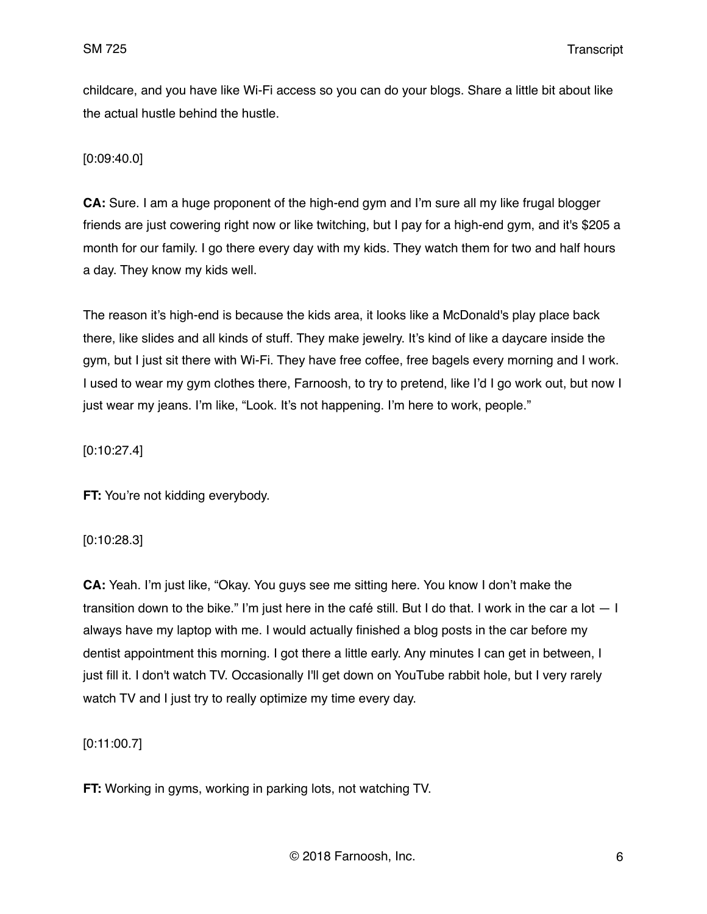childcare, and you have like Wi-Fi access so you can do your blogs. Share a little bit about like the actual hustle behind the hustle.

# [0:09:40.0]

**CA:** Sure. I am a huge proponent of the high-end gym and I'm sure all my like frugal blogger friends are just cowering right now or like twitching, but I pay for a high-end gym, and it's \$205 a month for our family. I go there every day with my kids. They watch them for two and half hours a day. They know my kids well.

The reason it's high-end is because the kids area, it looks like a McDonald's play place back there, like slides and all kinds of stuff. They make jewelry. It's kind of like a daycare inside the gym, but I just sit there with Wi-Fi. They have free coffee, free bagels every morning and I work. I used to wear my gym clothes there, Farnoosh, to try to pretend, like I'd I go work out, but now I just wear my jeans. I'm like, "Look. It's not happening. I'm here to work, people."

[0:10:27.4]

**FT:** You're not kidding everybody.

### [0:10:28.3]

**CA:** Yeah. I'm just like, "Okay. You guys see me sitting here. You know I don't make the transition down to the bike." I'm just here in the café still. But I do that. I work in the car a lot  $-1$ always have my laptop with me. I would actually finished a blog posts in the car before my dentist appointment this morning. I got there a little early. Any minutes I can get in between, I just fill it. I don't watch TV. Occasionally I'll get down on YouTube rabbit hole, but I very rarely watch TV and I just try to really optimize my time every day.

[0:11:00.7]

**FT:** Working in gyms, working in parking lots, not watching TV.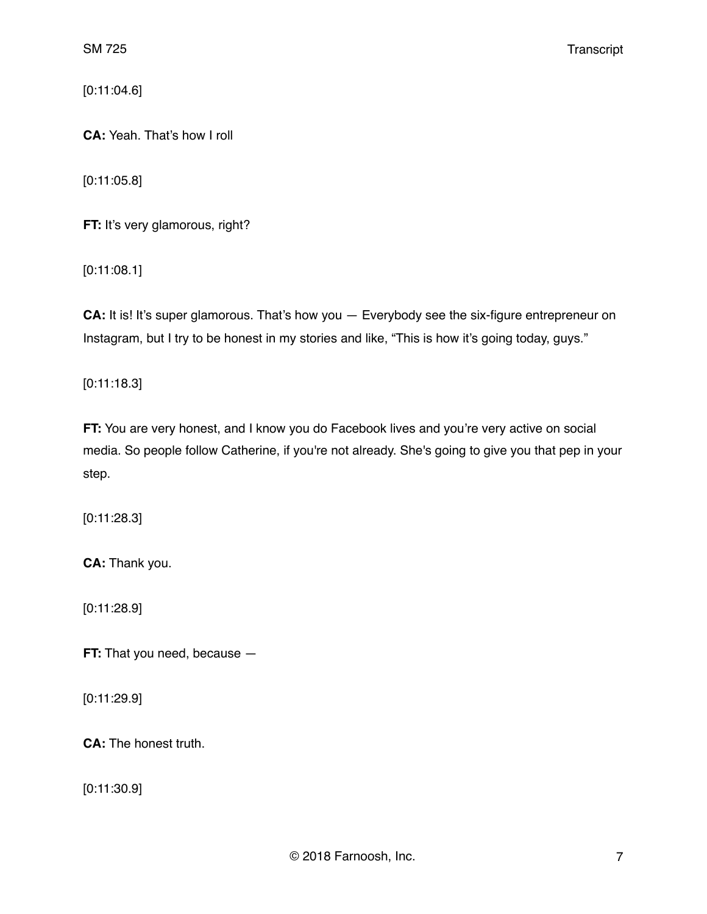[0:11:04.6]

**CA:** Yeah. That's how I roll

[0:11:05.8]

**FT:** It's very glamorous, right?

[0:11:08.1]

**CA:** It is! It's super glamorous. That's how you — Everybody see the six-figure entrepreneur on Instagram, but I try to be honest in my stories and like, "This is how it's going today, guys."

[0:11:18.3]

**FT:** You are very honest, and I know you do Facebook lives and you're very active on social media. So people follow Catherine, if you're not already. She's going to give you that pep in your step.

[0:11:28.3]

**CA:** Thank you.

[0:11:28.9]

**FT:** That you need, because  $-$ 

[0:11:29.9]

**CA:** The honest truth.

[0:11:30.9]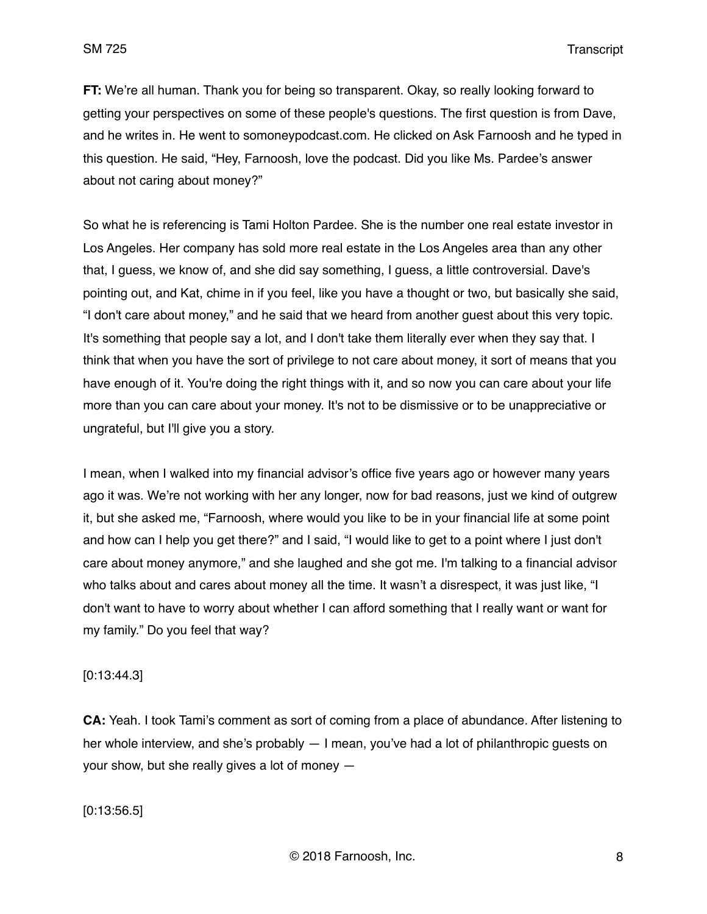**FT:** We're all human. Thank you for being so transparent. Okay, so really looking forward to getting your perspectives on some of these people's questions. The first question is from Dave, and he writes in. He went to somoneypodcast.com. He clicked on Ask Farnoosh and he typed in this question. He said, "Hey, Farnoosh, love the podcast. Did you like Ms. Pardee's answer about not caring about money?"

So what he is referencing is Tami Holton Pardee. She is the number one real estate investor in Los Angeles. Her company has sold more real estate in the Los Angeles area than any other that, I guess, we know of, and she did say something, I guess, a little controversial. Dave's pointing out, and Kat, chime in if you feel, like you have a thought or two, but basically she said, "I don't care about money," and he said that we heard from another guest about this very topic. It's something that people say a lot, and I don't take them literally ever when they say that. I think that when you have the sort of privilege to not care about money, it sort of means that you have enough of it. You're doing the right things with it, and so now you can care about your life more than you can care about your money. It's not to be dismissive or to be unappreciative or ungrateful, but I'll give you a story.

I mean, when I walked into my financial advisor's office five years ago or however many years ago it was. We're not working with her any longer, now for bad reasons, just we kind of outgrew it, but she asked me, "Farnoosh, where would you like to be in your financial life at some point and how can I help you get there?" and I said, "I would like to get to a point where I just don't care about money anymore," and she laughed and she got me. I'm talking to a financial advisor who talks about and cares about money all the time. It wasn't a disrespect, it was just like, "I don't want to have to worry about whether I can afford something that I really want or want for my family." Do you feel that way?

### [0:13:44.3]

**CA:** Yeah. I took Tami's comment as sort of coming from a place of abundance. After listening to her whole interview, and she's probably — I mean, you've had a lot of philanthropic guests on your show, but she really gives a lot of money —

[0:13:56.5]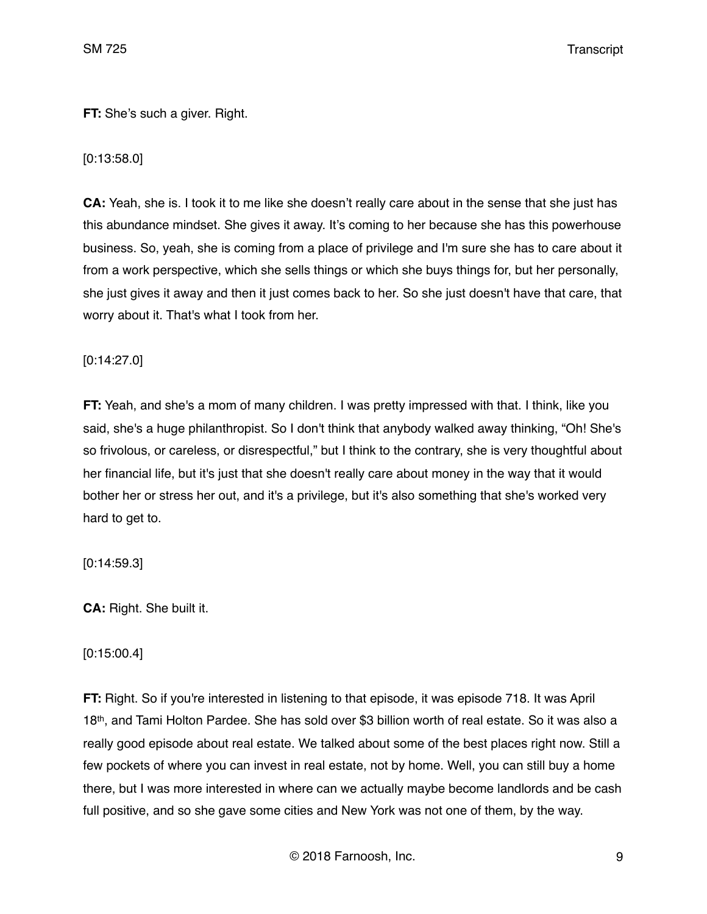**FT:** She's such a giver. Right.

# [0:13:58.0]

**CA:** Yeah, she is. I took it to me like she doesn't really care about in the sense that she just has this abundance mindset. She gives it away. It's coming to her because she has this powerhouse business. So, yeah, she is coming from a place of privilege and I'm sure she has to care about it from a work perspective, which she sells things or which she buys things for, but her personally, she just gives it away and then it just comes back to her. So she just doesn't have that care, that worry about it. That's what I took from her.

# [0:14:27.0]

**FT:** Yeah, and she's a mom of many children. I was pretty impressed with that. I think, like you said, she's a huge philanthropist. So I don't think that anybody walked away thinking, "Oh! She's so frivolous, or careless, or disrespectful," but I think to the contrary, she is very thoughtful about her financial life, but it's just that she doesn't really care about money in the way that it would bother her or stress her out, and it's a privilege, but it's also something that she's worked very hard to get to.

# [0:14:59.3]

**CA:** Right. She built it.

# [0:15:00.4]

**FT:** Right. So if you're interested in listening to that episode, it was episode 718. It was April 18th, and Tami Holton Pardee. She has sold over \$3 billion worth of real estate. So it was also a really good episode about real estate. We talked about some of the best places right now. Still a few pockets of where you can invest in real estate, not by home. Well, you can still buy a home there, but I was more interested in where can we actually maybe become landlords and be cash full positive, and so she gave some cities and New York was not one of them, by the way.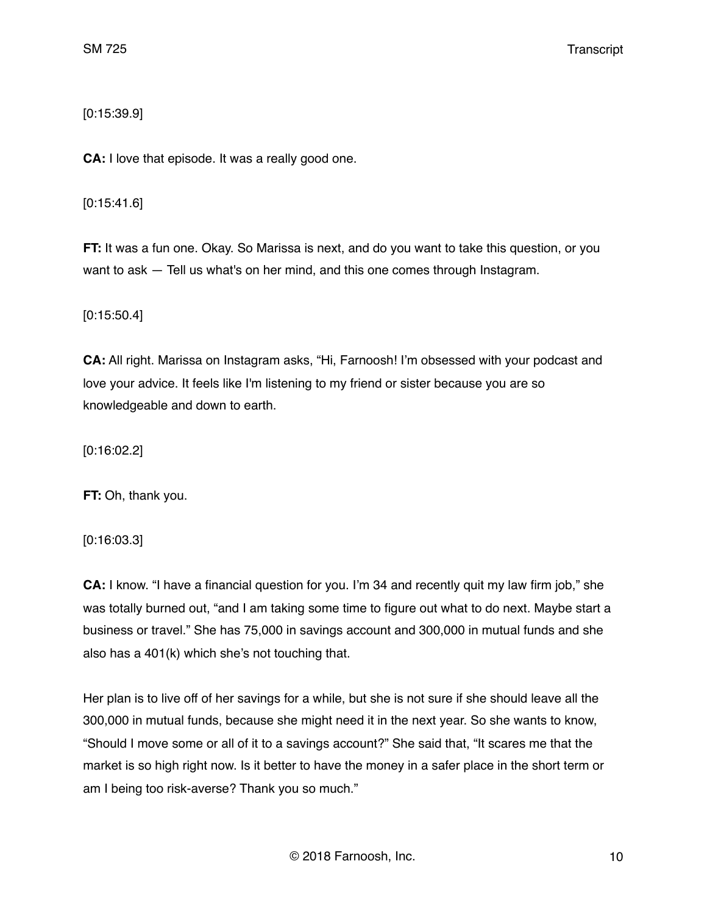# [0:15:39.9]

**CA:** I love that episode. It was a really good one.

[0:15:41.6]

**FT:** It was a fun one. Okay. So Marissa is next, and do you want to take this question, or you want to ask — Tell us what's on her mind, and this one comes through Instagram.

[0:15:50.4]

**CA:** All right. Marissa on Instagram asks, "Hi, Farnoosh! I'm obsessed with your podcast and love your advice. It feels like I'm listening to my friend or sister because you are so knowledgeable and down to earth.

[0:16:02.2]

**FT:** Oh, thank you.

[0:16:03.3]

**CA:** I know. "I have a financial question for you. I'm 34 and recently quit my law firm job," she was totally burned out, "and I am taking some time to figure out what to do next. Maybe start a business or travel." She has 75,000 in savings account and 300,000 in mutual funds and she also has a 401(k) which she's not touching that.

Her plan is to live off of her savings for a while, but she is not sure if she should leave all the 300,000 in mutual funds, because she might need it in the next year. So she wants to know, "Should I move some or all of it to a savings account?" She said that, "It scares me that the market is so high right now. Is it better to have the money in a safer place in the short term or am I being too risk-averse? Thank you so much."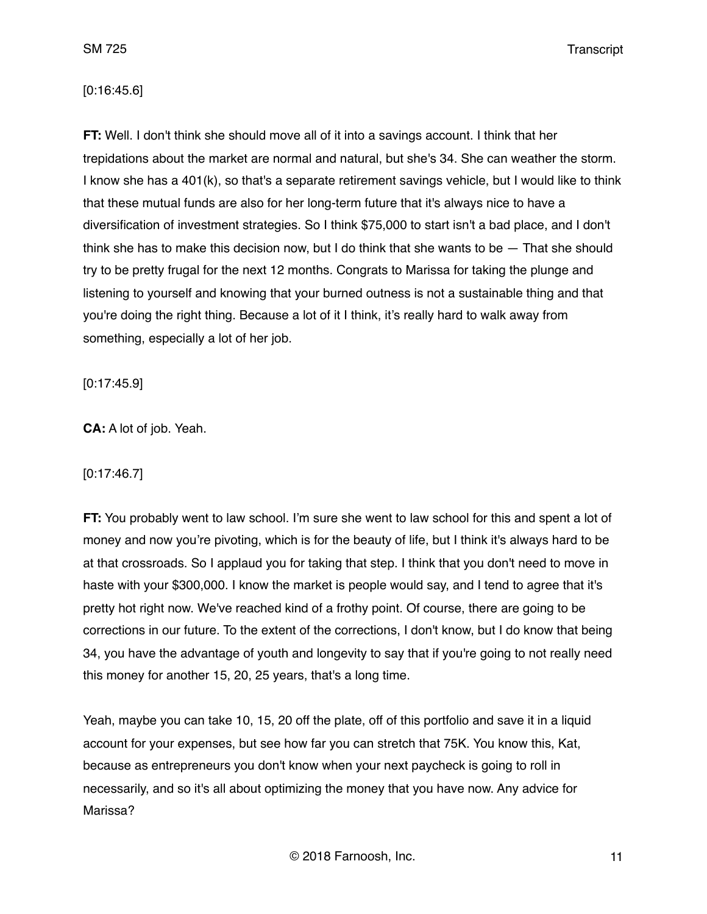### [0:16:45.6]

**FT:** Well. I don't think she should move all of it into a savings account. I think that her trepidations about the market are normal and natural, but she's 34. She can weather the storm. I know she has a 401(k), so that's a separate retirement savings vehicle, but I would like to think that these mutual funds are also for her long-term future that it's always nice to have a diversification of investment strategies. So I think \$75,000 to start isn't a bad place, and I don't think she has to make this decision now, but I do think that she wants to be — That she should try to be pretty frugal for the next 12 months. Congrats to Marissa for taking the plunge and listening to yourself and knowing that your burned outness is not a sustainable thing and that you're doing the right thing. Because a lot of it I think, it's really hard to walk away from something, especially a lot of her job.

[0:17:45.9]

**CA:** A lot of job. Yeah.

### [0:17:46.7]

**FT:** You probably went to law school. I'm sure she went to law school for this and spent a lot of money and now you're pivoting, which is for the beauty of life, but I think it's always hard to be at that crossroads. So I applaud you for taking that step. I think that you don't need to move in haste with your \$300,000. I know the market is people would say, and I tend to agree that it's pretty hot right now. We've reached kind of a frothy point. Of course, there are going to be corrections in our future. To the extent of the corrections, I don't know, but I do know that being 34, you have the advantage of youth and longevity to say that if you're going to not really need this money for another 15, 20, 25 years, that's a long time.

Yeah, maybe you can take 10, 15, 20 off the plate, off of this portfolio and save it in a liquid account for your expenses, but see how far you can stretch that 75K. You know this, Kat, because as entrepreneurs you don't know when your next paycheck is going to roll in necessarily, and so it's all about optimizing the money that you have now. Any advice for Marissa?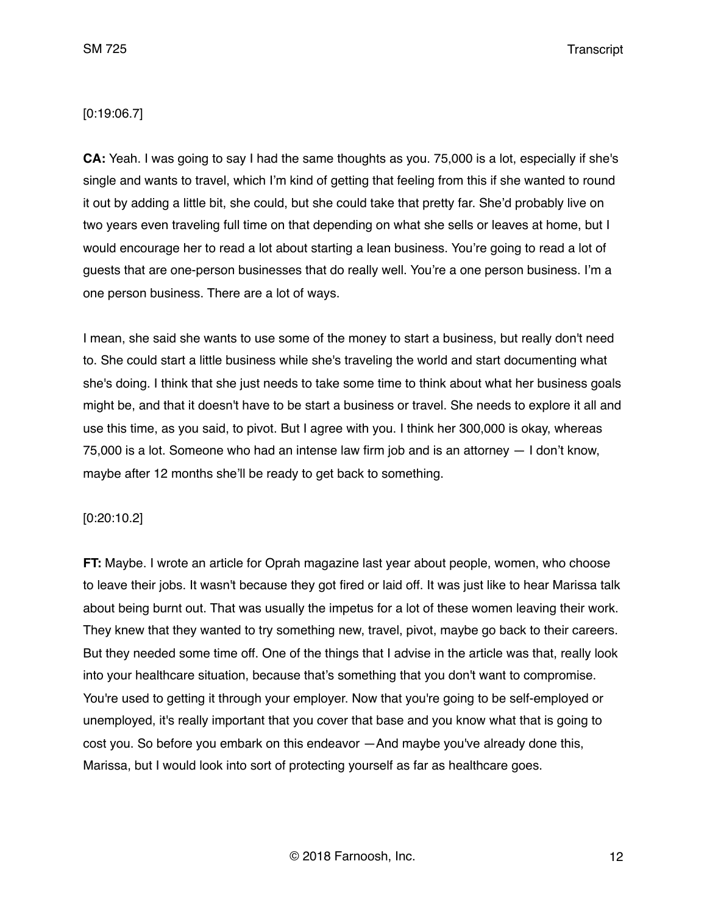### [0:19:06.7]

**CA:** Yeah. I was going to say I had the same thoughts as you. 75,000 is a lot, especially if she's single and wants to travel, which I'm kind of getting that feeling from this if she wanted to round it out by adding a little bit, she could, but she could take that pretty far. She'd probably live on two years even traveling full time on that depending on what she sells or leaves at home, but I would encourage her to read a lot about starting a lean business. You're going to read a lot of guests that are one-person businesses that do really well. You're a one person business. I'm a one person business. There are a lot of ways.

I mean, she said she wants to use some of the money to start a business, but really don't need to. She could start a little business while she's traveling the world and start documenting what she's doing. I think that she just needs to take some time to think about what her business goals might be, and that it doesn't have to be start a business or travel. She needs to explore it all and use this time, as you said, to pivot. But I agree with you. I think her 300,000 is okay, whereas 75,000 is a lot. Someone who had an intense law firm job and is an attorney — I don't know, maybe after 12 months she'll be ready to get back to something.

### [0:20:10.2]

**FT:** Maybe. I wrote an article for Oprah magazine last year about people, women, who choose to leave their jobs. It wasn't because they got fired or laid off. It was just like to hear Marissa talk about being burnt out. That was usually the impetus for a lot of these women leaving their work. They knew that they wanted to try something new, travel, pivot, maybe go back to their careers. But they needed some time off. One of the things that I advise in the article was that, really look into your healthcare situation, because that's something that you don't want to compromise. You're used to getting it through your employer. Now that you're going to be self-employed or unemployed, it's really important that you cover that base and you know what that is going to cost you. So before you embark on this endeavor —And maybe you've already done this, Marissa, but I would look into sort of protecting yourself as far as healthcare goes.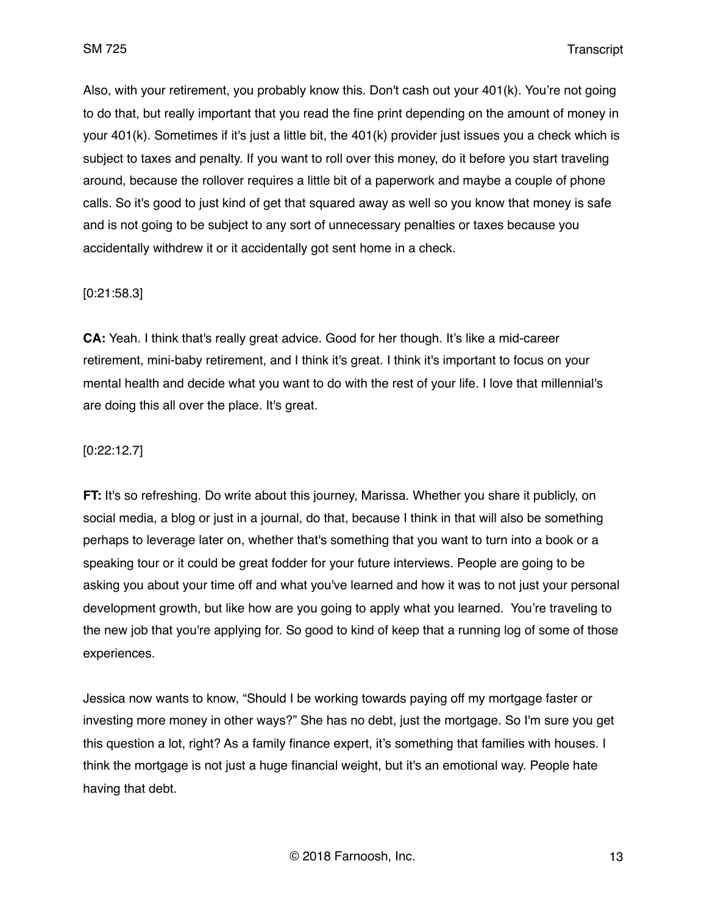Also, with your retirement, you probably know this. Don't cash out your 401(k). You're not going to do that, but really important that you read the fine print depending on the amount of money in your 401(k). Sometimes if it's just a little bit, the 401(k) provider just issues you a check which is subject to taxes and penalty. If you want to roll over this money, do it before you start traveling around, because the rollover requires a little bit of a paperwork and maybe a couple of phone calls. So it's good to just kind of get that squared away as well so you know that money is safe and is not going to be subject to any sort of unnecessary penalties or taxes because you accidentally withdrew it or it accidentally got sent home in a check.

### [0:21:58.3]

**CA:** Yeah. I think that's really great advice. Good for her though. It's like a mid-career retirement, mini-baby retirement, and I think it's great. I think it's important to focus on your mental health and decide what you want to do with the rest of your life. I love that millennial's are doing this all over the place. It's great.

### [0:22:12.7]

**FT:** It's so refreshing. Do write about this journey, Marissa. Whether you share it publicly, on social media, a blog or just in a journal, do that, because I think in that will also be something perhaps to leverage later on, whether that's something that you want to turn into a book or a speaking tour or it could be great fodder for your future interviews. People are going to be asking you about your time off and what you've learned and how it was to not just your personal development growth, but like how are you going to apply what you learned. You're traveling to the new job that you're applying for. So good to kind of keep that a running log of some of those experiences.

Jessica now wants to know, "Should I be working towards paying off my mortgage faster or investing more money in other ways?" She has no debt, just the mortgage. So I'm sure you get this question a lot, right? As a family finance expert, it's something that families with houses. I think the mortgage is not just a huge financial weight, but it's an emotional way. People hate having that debt.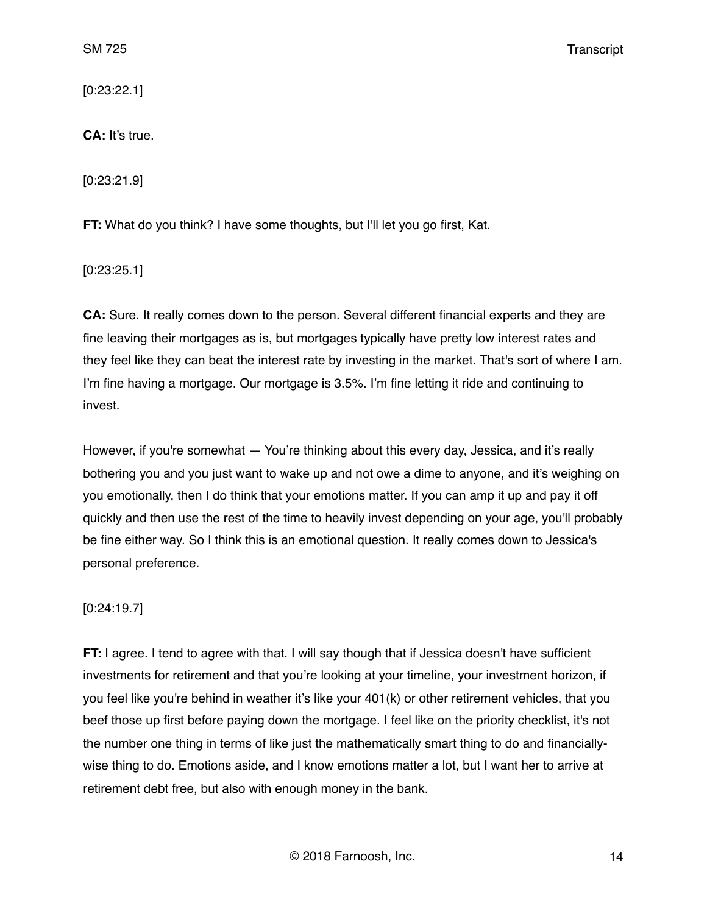[0:23:22.1]

**CA:** It's true.

[0:23:21.9]

**FT:** What do you think? I have some thoughts, but I'll let you go first, Kat.

[0:23:25.1]

**CA:** Sure. It really comes down to the person. Several different financial experts and they are fine leaving their mortgages as is, but mortgages typically have pretty low interest rates and they feel like they can beat the interest rate by investing in the market. That's sort of where I am. I'm fine having a mortgage. Our mortgage is 3.5%. I'm fine letting it ride and continuing to invest.

However, if you're somewhat — You're thinking about this every day, Jessica, and it's really bothering you and you just want to wake up and not owe a dime to anyone, and it's weighing on you emotionally, then I do think that your emotions matter. If you can amp it up and pay it off quickly and then use the rest of the time to heavily invest depending on your age, you'll probably be fine either way. So I think this is an emotional question. It really comes down to Jessica's personal preference.

# [0:24:19.7]

**FT:** I agree. I tend to agree with that. I will say though that if Jessica doesn't have sufficient investments for retirement and that you're looking at your timeline, your investment horizon, if you feel like you're behind in weather it's like your 401(k) or other retirement vehicles, that you beef those up first before paying down the mortgage. I feel like on the priority checklist, it's not the number one thing in terms of like just the mathematically smart thing to do and financiallywise thing to do. Emotions aside, and I know emotions matter a lot, but I want her to arrive at retirement debt free, but also with enough money in the bank.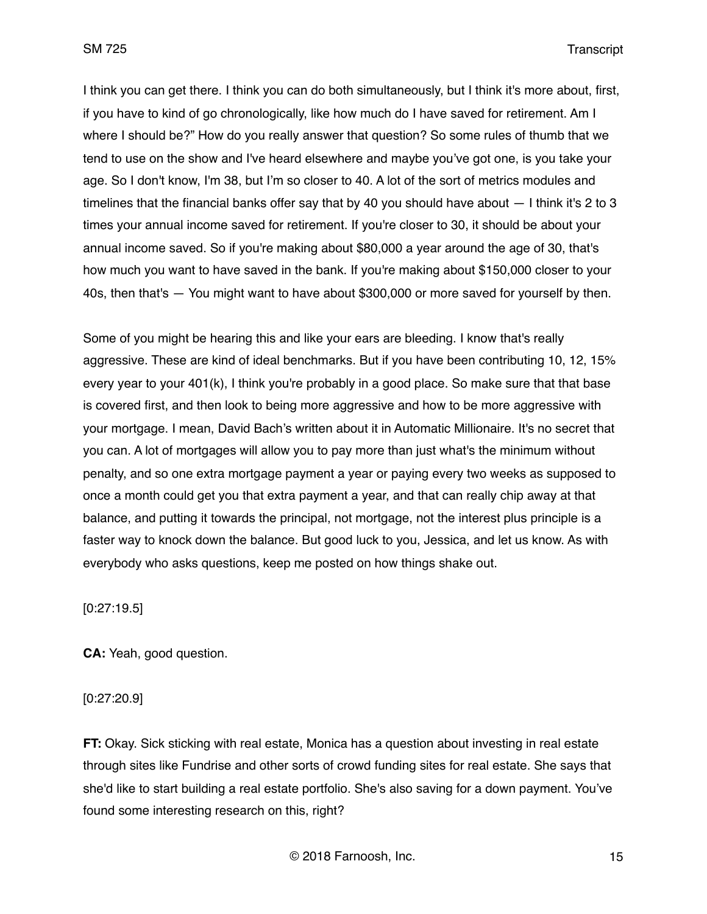I think you can get there. I think you can do both simultaneously, but I think it's more about, first, if you have to kind of go chronologically, like how much do I have saved for retirement. Am I where I should be?" How do you really answer that question? So some rules of thumb that we tend to use on the show and I've heard elsewhere and maybe you've got one, is you take your age. So I don't know, I'm 38, but I'm so closer to 40. A lot of the sort of metrics modules and timelines that the financial banks offer say that by 40 you should have about  $-1$  think it's 2 to 3 times your annual income saved for retirement. If you're closer to 30, it should be about your annual income saved. So if you're making about \$80,000 a year around the age of 30, that's how much you want to have saved in the bank. If you're making about \$150,000 closer to your 40s, then that's — You might want to have about \$300,000 or more saved for yourself by then.

Some of you might be hearing this and like your ears are bleeding. I know that's really aggressive. These are kind of ideal benchmarks. But if you have been contributing 10, 12, 15% every year to your 401(k), I think you're probably in a good place. So make sure that that base is covered first, and then look to being more aggressive and how to be more aggressive with your mortgage. I mean, David Bach's written about it in Automatic Millionaire. It's no secret that you can. A lot of mortgages will allow you to pay more than just what's the minimum without penalty, and so one extra mortgage payment a year or paying every two weeks as supposed to once a month could get you that extra payment a year, and that can really chip away at that balance, and putting it towards the principal, not mortgage, not the interest plus principle is a faster way to knock down the balance. But good luck to you, Jessica, and let us know. As with everybody who asks questions, keep me posted on how things shake out.

[0:27:19.5]

**CA:** Yeah, good question.

[0:27:20.9]

**FT:** Okay. Sick sticking with real estate, Monica has a question about investing in real estate through sites like Fundrise and other sorts of crowd funding sites for real estate. She says that she'd like to start building a real estate portfolio. She's also saving for a down payment. You've found some interesting research on this, right?

© 2018 Farnoosh, Inc. 15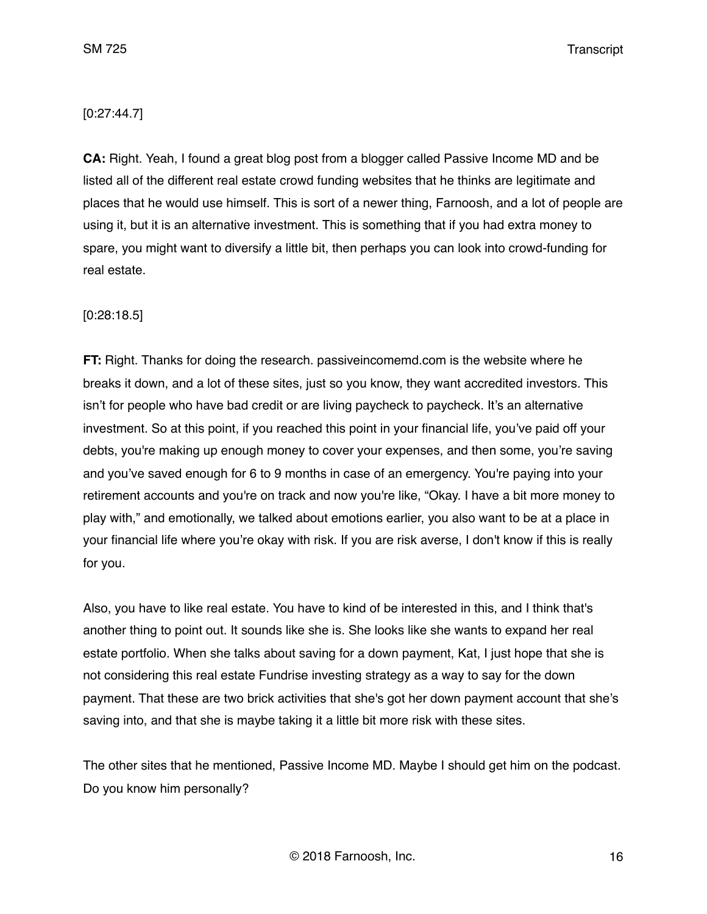### [0:27:44.7]

**CA:** Right. Yeah, I found a great blog post from a blogger called Passive Income MD and be listed all of the different real estate crowd funding websites that he thinks are legitimate and places that he would use himself. This is sort of a newer thing, Farnoosh, and a lot of people are using it, but it is an alternative investment. This is something that if you had extra money to spare, you might want to diversify a little bit, then perhaps you can look into crowd-funding for real estate.

### [0:28:18.5]

**FT:** Right. Thanks for doing the research. passiveincomemd.com is the website where he breaks it down, and a lot of these sites, just so you know, they want accredited investors. This isn't for people who have bad credit or are living paycheck to paycheck. It's an alternative investment. So at this point, if you reached this point in your financial life, you've paid off your debts, you're making up enough money to cover your expenses, and then some, you're saving and you've saved enough for 6 to 9 months in case of an emergency. You're paying into your retirement accounts and you're on track and now you're like, "Okay. I have a bit more money to play with," and emotionally, we talked about emotions earlier, you also want to be at a place in your financial life where you're okay with risk. If you are risk averse, I don't know if this is really for you.

Also, you have to like real estate. You have to kind of be interested in this, and I think that's another thing to point out. It sounds like she is. She looks like she wants to expand her real estate portfolio. When she talks about saving for a down payment, Kat, I just hope that she is not considering this real estate Fundrise investing strategy as a way to say for the down payment. That these are two brick activities that she's got her down payment account that she's saving into, and that she is maybe taking it a little bit more risk with these sites.

The other sites that he mentioned, Passive Income MD. Maybe I should get him on the podcast. Do you know him personally?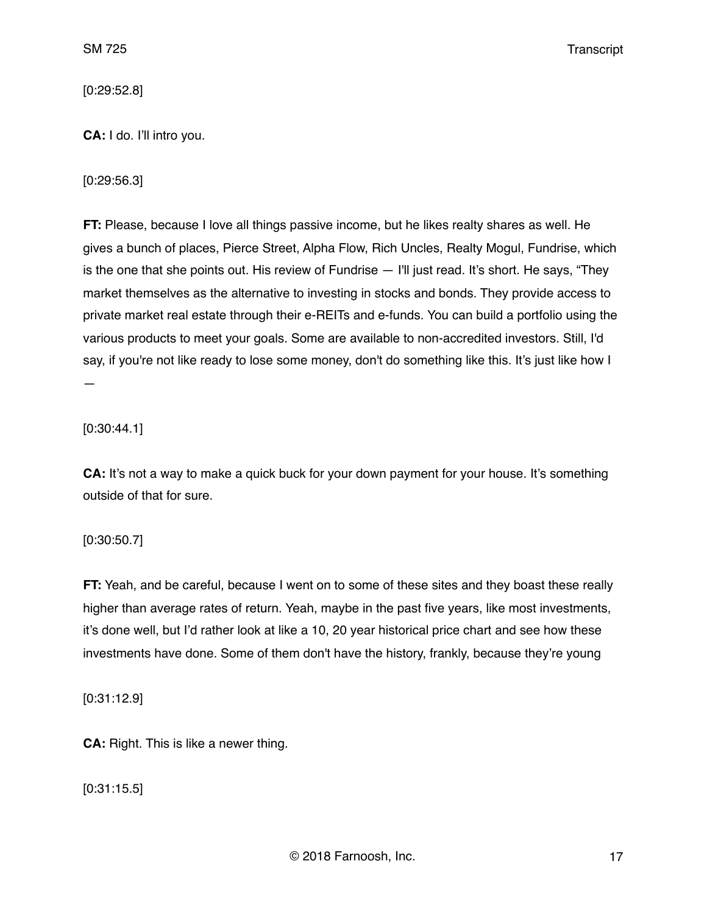[0:29:52.8]

**CA:** I do. I'll intro you.

[0:29:56.3]

**FT:** Please, because I love all things passive income, but he likes realty shares as well. He gives a bunch of places, Pierce Street, Alpha Flow, Rich Uncles, Realty Mogul, Fundrise, which is the one that she points out. His review of Fundrise — I'll just read. It's short. He says, "They market themselves as the alternative to investing in stocks and bonds. They provide access to private market real estate through their e-REITs and e-funds. You can build a portfolio using the various products to meet your goals. Some are available to non-accredited investors. Still, I'd say, if you're not like ready to lose some money, don't do something like this. It's just like how I —

[0:30:44.1]

**CA:** It's not a way to make a quick buck for your down payment for your house. It's something outside of that for sure.

[0:30:50.7]

**FT:** Yeah, and be careful, because I went on to some of these sites and they boast these really higher than average rates of return. Yeah, maybe in the past five years, like most investments, it's done well, but I'd rather look at like a 10, 20 year historical price chart and see how these investments have done. Some of them don't have the history, frankly, because they're young

[0:31:12.9]

**CA:** Right. This is like a newer thing.

[0:31:15.5]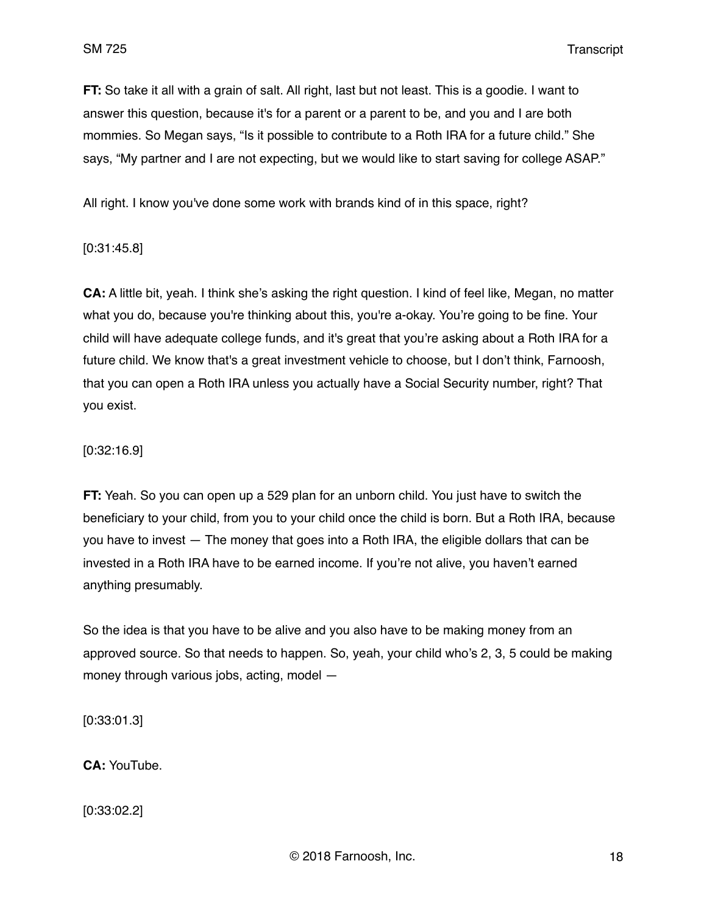**FT:** So take it all with a grain of salt. All right, last but not least. This is a goodie. I want to answer this question, because it's for a parent or a parent to be, and you and I are both mommies. So Megan says, "Is it possible to contribute to a Roth IRA for a future child." She says, "My partner and I are not expecting, but we would like to start saving for college ASAP."

All right. I know you've done some work with brands kind of in this space, right?

[0:31:45.8]

**CA:** A little bit, yeah. I think she's asking the right question. I kind of feel like, Megan, no matter what you do, because you're thinking about this, you're a-okay. You're going to be fine. Your child will have adequate college funds, and it's great that you're asking about a Roth IRA for a future child. We know that's a great investment vehicle to choose, but I don't think, Farnoosh, that you can open a Roth IRA unless you actually have a Social Security number, right? That you exist.

#### [0:32:16.9]

**FT:** Yeah. So you can open up a 529 plan for an unborn child. You just have to switch the beneficiary to your child, from you to your child once the child is born. But a Roth IRA, because you have to invest — The money that goes into a Roth IRA, the eligible dollars that can be invested in a Roth IRA have to be earned income. If you're not alive, you haven't earned anything presumably.

So the idea is that you have to be alive and you also have to be making money from an approved source. So that needs to happen. So, yeah, your child who's 2, 3, 5 could be making money through various jobs, acting, model —

[0:33:01.3]

**CA:** YouTube.

[0:33:02.2]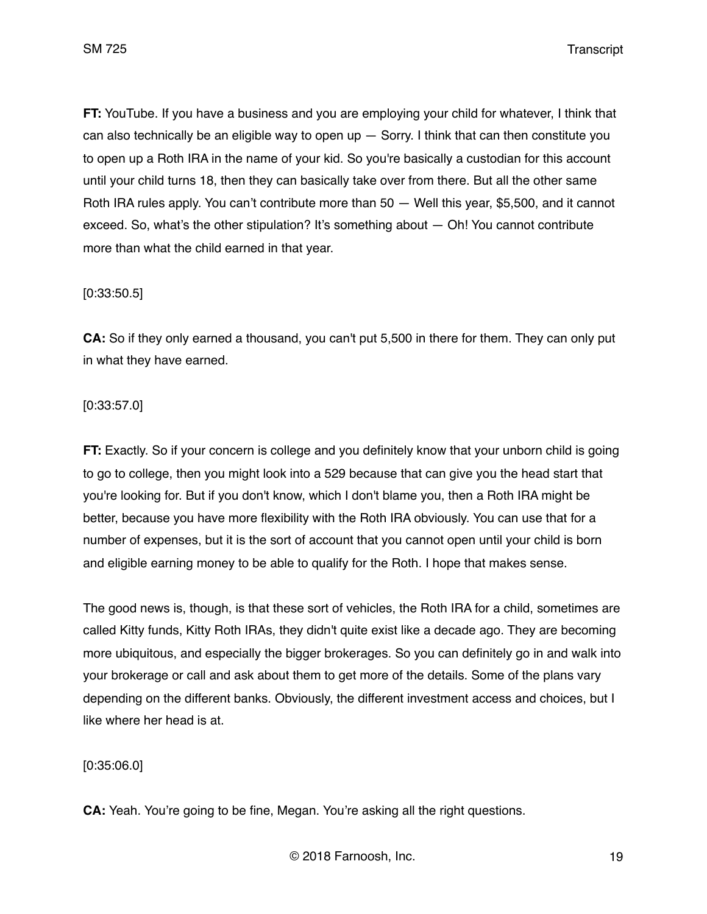**FT:** YouTube. If you have a business and you are employing your child for whatever, I think that can also technically be an eligible way to open up  $-$  Sorry. I think that can then constitute you to open up a Roth IRA in the name of your kid. So you're basically a custodian for this account until your child turns 18, then they can basically take over from there. But all the other same Roth IRA rules apply. You can't contribute more than 50 — Well this year, \$5,500, and it cannot exceed. So, what's the other stipulation? It's something about — Oh! You cannot contribute more than what the child earned in that year.

### [0:33:50.5]

**CA:** So if they only earned a thousand, you can't put 5,500 in there for them. They can only put in what they have earned.

### [0:33:57.0]

**FT:** Exactly. So if your concern is college and you definitely know that your unborn child is going to go to college, then you might look into a 529 because that can give you the head start that you're looking for. But if you don't know, which I don't blame you, then a Roth IRA might be better, because you have more flexibility with the Roth IRA obviously. You can use that for a number of expenses, but it is the sort of account that you cannot open until your child is born and eligible earning money to be able to qualify for the Roth. I hope that makes sense.

The good news is, though, is that these sort of vehicles, the Roth IRA for a child, sometimes are called Kitty funds, Kitty Roth IRAs, they didn't quite exist like a decade ago. They are becoming more ubiquitous, and especially the bigger brokerages. So you can definitely go in and walk into your brokerage or call and ask about them to get more of the details. Some of the plans vary depending on the different banks. Obviously, the different investment access and choices, but I like where her head is at.

### [0:35:06.0]

**CA:** Yeah. You're going to be fine, Megan. You're asking all the right questions.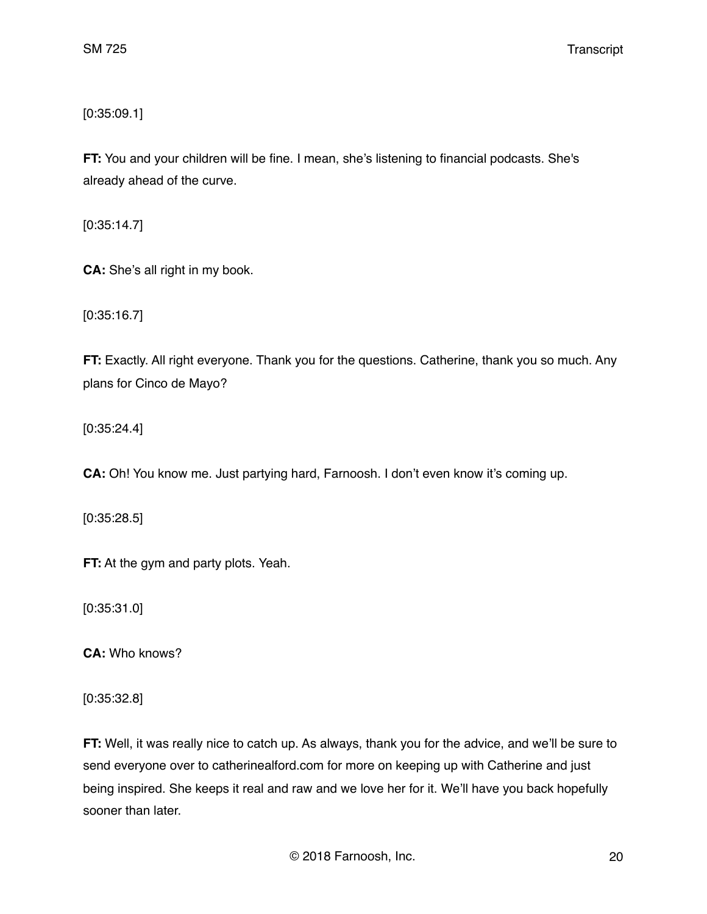[0:35:09.1]

**FT:** You and your children will be fine. I mean, she's listening to financial podcasts. She's already ahead of the curve.

[0:35:14.7]

**CA:** She's all right in my book.

[0:35:16.7]

**FT:** Exactly. All right everyone. Thank you for the questions. Catherine, thank you so much. Any plans for Cinco de Mayo?

[0:35:24.4]

**CA:** Oh! You know me. Just partying hard, Farnoosh. I don't even know it's coming up.

[0:35:28.5]

**FT:** At the gym and party plots. Yeah.

[0:35:31.0]

**CA:** Who knows?

[0:35:32.8]

**FT:** Well, it was really nice to catch up. As always, thank you for the advice, and we'll be sure to send everyone over to catherinealford.com for more on keeping up with Catherine and just being inspired. She keeps it real and raw and we love her for it. We'll have you back hopefully sooner than later.